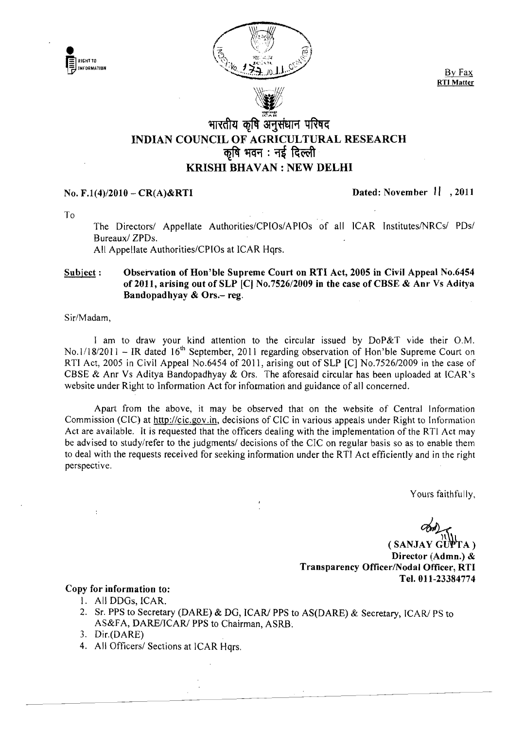



 $\wedge\mathcal{N}$  $\sim$ 

**RTI Matter** 

# भारतीय कृषि अनुसंधान परिषद INDIAN COUNCIL OF AGRICULTURAL RESEARCH  $\overline{p}$ षि भवन $\overline{p}$ : नई दिल्ली KRISHI BHAVAN : NEW DELHI

## No. F.1(4)/2010 – CR(A)&RTI Dated: November  $11, 2011$

To

The Directors/ Appellate Authorities/CPIOs/APIOs of all ICAR Institutes/NRCs/ PDs/ Bureaux/ ZPDs.

All Appellate Authorities/CPIOs at lCAR Hqrs.

#### Subject: Observation of Hon'ble Supreme Court on RTI Act, 2005 in Civil Appeal No.6454 of 2011, arising out of SLP  $|C|$  No.7526/2009 in the case of CBSE & Anr Vs Aditya Bandopadhyay  $& Ors.-reg.$

Sir/Madam,

I am to draw your kind attention to the circular issued by DoP&T vide their O.M. No.1/18/2011 - IR dated 16<sup>th</sup> September, 2011 regarding observation of Hon'ble Supreme Court on RTI Act, 2005 in Civil Appeal No.6454 of 2011, arising out of SLP [C] No.7526/2009 in the case of CBSE & Anr Vs Aditya Bandopadhyay & Ors. The aforesaid circular has been uploaded at ICAR's website under Right to Information Act for information and guidance of all concerned.

Apart from the above, it may be observed that on the website of Central Information Commission (CIC) at http://cic.gov.in, decisions of CIC in various appeals under Right to Information Act are available. It is requested that the officers dealing with the implementation of the RTI Act may be advised to study/refer to the judgments/ decisions of the ClC on regular basis so as to enable them to deal with the requests received for seeking information under the RTI Act efficiently and in the right perspective.

Yours faithfully,

 $(SANJAYGUPTA)$ Director (Admn.) & Transparency Offlcer/Nodal Officer, RTI Tel. 011-23384774

#### Copy for information to:

- I. All DOGs, ICAR.
- 2. Sr. PPS to Secretary (DARE) & DG, ICAR/ PPS to AS(DARE) & Secretary, ICAR/ PS to AS&FA, DARE/ICAR/ PPS to Chairman, ASRB.
- 3. Dir.(DARE)
- 4. All Officers/ Sections at ICAR Hqrs.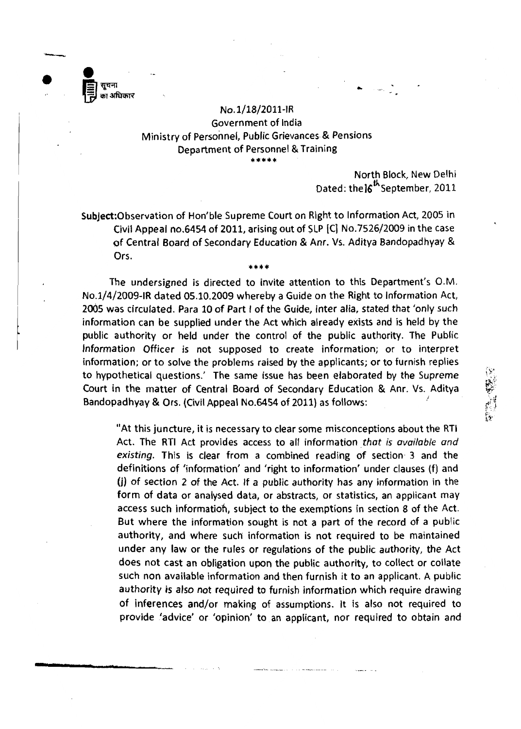

**•** 

### No.l/18/2011-JR Government of India Ministry of Personnel, Public Grievances & Pensions Department of Personnel & Training \*\*\*\*

North Block, New Delhi Dated: the16<sup>th</sup> September, 2011

Subject:Observation of Hon'ble Supreme Court on Right to Information Act, 2005 in Civil Appeal no.6454 of 2011, arising out of SLP [C] No.7526/2009 in the case of Central Board of Secondary Education & Anr. Vs. Aditya Bandopadhyay & Ors.

\*\*\*\*

The undersigned is directed to invite attention to this Department's O.M. No.l/4/2009-IR dated 05.10.2009 whereby a Guide on the Right to Information Act, 2005 was circulated. Para 10 of Part I of the Guide, inter alia, stated that 'only such information can be supplied under the Act which already exists and is held by the public authority or held under the control of the public authority. The Public Information Officer is not supposed to create information; or to interpret information; or to solve the problems raised by the applicants; or to furnish replies to hypothetical questions.' The same issue has been elaborated by the Supreme Court in the matter of Central Board of Secondary Education & Anr. Vs. Aditya Bandopadhyay & Ors. (Civil Appeal No.6454 of 2011) as follows:

"At this juncture, it is necessary to clear some misconceptions about the RTI Act. The RTI Act provides access to all information. *that is available and*  existing. This is clear from a combined reading of section 3 and the definitions of 'information' and 'right to information' under clauses (f) and (j) of section 2 of the Act. If a public authority has any information in the form of data or analysed data, or abstracts, or statistics, an applicant may access such information, subject to the exemptions in section 8 of the Act. But where the information sought is not a part of the record of a public authority, and where such information is not required to be maintained under any law or the rules or regulations of the public authority, the Act does not cast an obligation upon the public authority, to collect or collate such non available information and then furnish it to an applicant. A public authority is also not required to furnish information which require drawing of inferences and/or making of assumptions. It is also not required to provide 'advice' or 'opinion' to. an applicant, nor required to obtain and